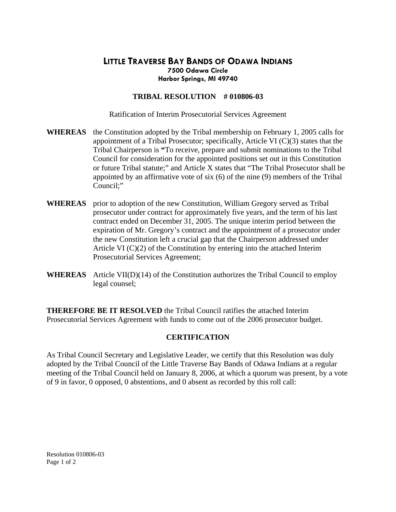## **LITTLE TRAVERSE BAY BANDS OF ODAWA INDIANS Harbor Springs, MI 49740 7500 Odawa Circle**

## **TRIBAL RESOLUTION # 010806-03**

Ratification of Interim Prosecutorial Services Agreement

- WHEREAS the Constitution adopted by the Tribal membership on February 1, 2005 calls for appointed by an affirmative vote of  $six(6)$  of the nine  $(9)$  members of the Tribal Council;" appointment of a Tribal Prosecutor; specifically, Article VI (C)(3) states that the Tribal Chairperson is **"**To receive, prepare and submit nominations to the Tribal Council for consideration for the appointed positions set out in this Constitution or future Tribal statute;" and Article X states that "The Tribal Prosecutor shall be
- WHEREAS prior to adoption of the new Constitution, William Gregory served as Tribal expiration of Mr. Gregory's contract and the appointment of a prosecutor under the new Constitution left a crucial gap that the Chairperson addressed under Article VI  $(C)(2)$  of the Constitution by entering into the attached Interim Prosecutorial Services Agreement; prosecutor under contract for approximately five years, and the term of his last contract ended on December 31, 2005. The unique interim period between the
- **WHEREAS** Article VII(D)(14) of the Constitution authorizes the Tribal Council to employ legal counsel;

Prosecutorial Services Agreement with funds to come out of the 2006 prosecutor budget. **THEREFORE BE IT RESOLVED** the Tribal Council ratifies the attached Interim

## **CERTIFICATION**

meeting of the Tribal Council held on January 8, 2006, at which a quorum was present, by a vote of 9 in favor, 0 opposed, 0 abstentions, and 0 absent as recorded by this roll call: As Tribal Council Secretary and Legislative Leader, we certify that this Resolution was duly adopted by the Tribal Council of the Little Traverse Bay Bands of Odawa Indians at a regular

Resolution 010806-03 Page 1 of 2